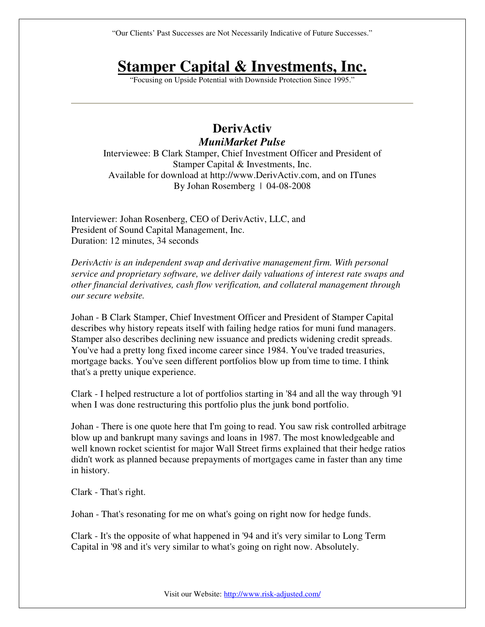"Our Clients' Past Successes are Not Necessarily Indicative of Future Successes."

## **Stamper Capital & Investments, Inc.**

"Focusing on Upside Potential with Downside Protection Since 1995."

## **DerivActiv**  *MuniMarket Pulse*

Interviewee: B Clark Stamper, Chief Investment Officer and President of Stamper Capital & Investments, Inc. Available for download at http://www.DerivActiv.com, and on ITunes By Johan Rosemberg | 04-08-2008

Interviewer: Johan Rosenberg, CEO of DerivActiv, LLC, and President of Sound Capital Management, Inc. Duration: 12 minutes, 34 seconds

*DerivActiv is an independent swap and derivative management firm. With personal service and proprietary software, we deliver daily valuations of interest rate swaps and other financial derivatives, cash flow verification, and collateral management through our secure website.* 

Johan - B Clark Stamper, Chief Investment Officer and President of Stamper Capital describes why history repeats itself with failing hedge ratios for muni fund managers. Stamper also describes declining new issuance and predicts widening credit spreads. You've had a pretty long fixed income career since 1984. You've traded treasuries, mortgage backs. You've seen different portfolios blow up from time to time. I think that's a pretty unique experience.

Clark - I helped restructure a lot of portfolios starting in '84 and all the way through '91 when I was done restructuring this portfolio plus the junk bond portfolio.

Johan - There is one quote here that I'm going to read. You saw risk controlled arbitrage blow up and bankrupt many savings and loans in 1987. The most knowledgeable and well known rocket scientist for major Wall Street firms explained that their hedge ratios didn't work as planned because prepayments of mortgages came in faster than any time in history.

Clark - That's right.

Johan - That's resonating for me on what's going on right now for hedge funds.

Clark - It's the opposite of what happened in '94 and it's very similar to Long Term Capital in '98 and it's very similar to what's going on right now. Absolutely.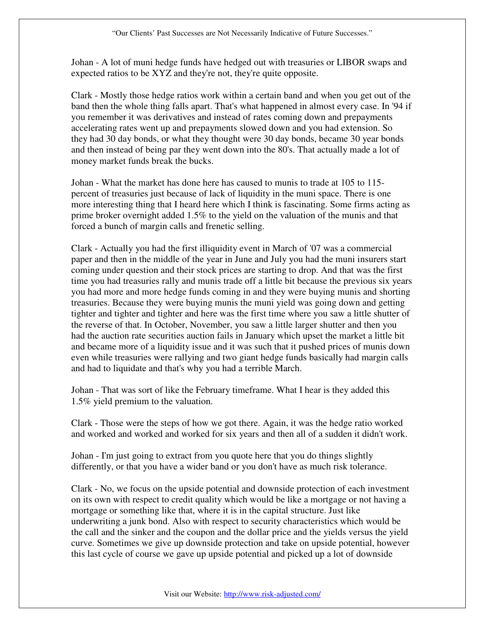Johan - A lot of muni hedge funds have hedged out with treasuries or LIBOR swaps and expected ratios to be XYZ and they're not, they're quite opposite.

Clark - Mostly those hedge ratios work within a certain band and when you get out of the band then the whole thing falls apart. That's what happened in almost every case. In '94 if you remember it was derivatives and instead of rates coming down and prepayments accelerating rates went up and prepayments slowed down and you had extension. So they had 30 day bonds, or what they thought were 30 day bonds, became 30 year bonds and then instead of being par they went down into the 80's. That actually made a lot of money market funds break the bucks.

Johan - What the market has done here has caused to munis to trade at 105 to 115 percent of treasuries just because of lack of liquidity in the muni space. There is one more interesting thing that I heard here which I think is fascinating. Some firms acting as prime broker overnight added 1.5% to the yield on the valuation of the munis and that forced a bunch of margin calls and frenetic selling.

Clark - Actually you had the first illiquidity event in March of '07 was a commercial paper and then in the middle of the year in June and July you had the muni insurers start coming under question and their stock prices are starting to drop. And that was the first time you had treasuries rally and munis trade off a little bit because the previous six years you had more and more hedge funds coming in and they were buying munis and shorting treasuries. Because they were buying munis the muni yield was going down and getting tighter and tighter and tighter and here was the first time where you saw a little shutter of the reverse of that. In October, November, you saw a little larger shutter and then you had the auction rate securities auction fails in January which upset the market a little bit and became more of a liquidity issue and it was such that it pushed prices of munis down even while treasuries were rallying and two giant hedge funds basically had margin calls and had to liquidate and that's why you had a terrible March.

Johan - That was sort of like the February timeframe. What I hear is they added this 1.5% yield premium to the valuation.

Clark - Those were the steps of how we got there. Again, it was the hedge ratio worked and worked and worked and worked for six years and then all of a sudden it didn't work.

Johan - I'm just going to extract from you quote here that you do things slightly differently, or that you have a wider band or you don't have as much risk tolerance.

Clark - No, we focus on the upside potential and downside protection of each investment on its own with respect to credit quality which would be like a mortgage or not having a mortgage or something like that, where it is in the capital structure. Just like underwriting a junk bond. Also with respect to security characteristics which would be the call and the sinker and the coupon and the dollar price and the yields versus the yield curve. Sometimes we give up downside protection and take on upside potential, however this last cycle of course we gave up upside potential and picked up a lot of downside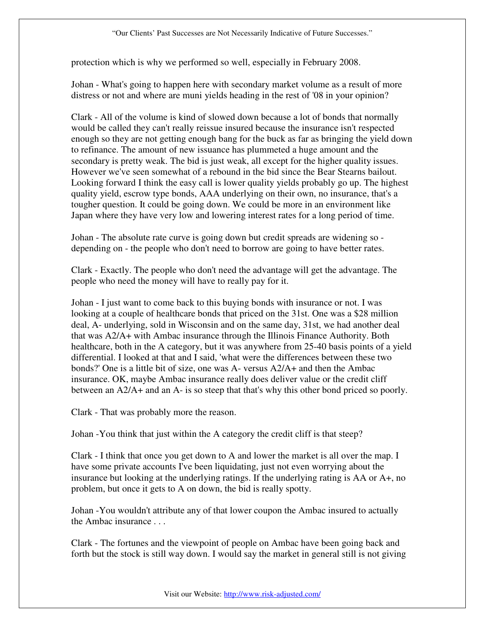protection which is why we performed so well, especially in February 2008.

Johan - What's going to happen here with secondary market volume as a result of more distress or not and where are muni yields heading in the rest of '08 in your opinion?

Clark - All of the volume is kind of slowed down because a lot of bonds that normally would be called they can't really reissue insured because the insurance isn't respected enough so they are not getting enough bang for the buck as far as bringing the yield down to refinance. The amount of new issuance has plummeted a huge amount and the secondary is pretty weak. The bid is just weak, all except for the higher quality issues. However we've seen somewhat of a rebound in the bid since the Bear Stearns bailout. Looking forward I think the easy call is lower quality yields probably go up. The highest quality yield, escrow type bonds, AAA underlying on their own, no insurance, that's a tougher question. It could be going down. We could be more in an environment like Japan where they have very low and lowering interest rates for a long period of time.

Johan - The absolute rate curve is going down but credit spreads are widening so depending on - the people who don't need to borrow are going to have better rates.

Clark - Exactly. The people who don't need the advantage will get the advantage. The people who need the money will have to really pay for it.

Johan - I just want to come back to this buying bonds with insurance or not. I was looking at a couple of healthcare bonds that priced on the 31st. One was a \$28 million deal, A- underlying, sold in Wisconsin and on the same day, 31st, we had another deal that was A2/A+ with Ambac insurance through the Illinois Finance Authority. Both healthcare, both in the A category, but it was anywhere from 25-40 basis points of a yield differential. I looked at that and I said, 'what were the differences between these two bonds?' One is a little bit of size, one was A- versus A2/A+ and then the Ambac insurance. OK, maybe Ambac insurance really does deliver value or the credit cliff between an A2/A+ and an A- is so steep that that's why this other bond priced so poorly.

Clark - That was probably more the reason.

Johan -You think that just within the A category the credit cliff is that steep?

Clark - I think that once you get down to A and lower the market is all over the map. I have some private accounts I've been liquidating, just not even worrying about the insurance but looking at the underlying ratings. If the underlying rating is AA or A+, no problem, but once it gets to A on down, the bid is really spotty.

Johan -You wouldn't attribute any of that lower coupon the Ambac insured to actually the Ambac insurance . . .

Clark - The fortunes and the viewpoint of people on Ambac have been going back and forth but the stock is still way down. I would say the market in general still is not giving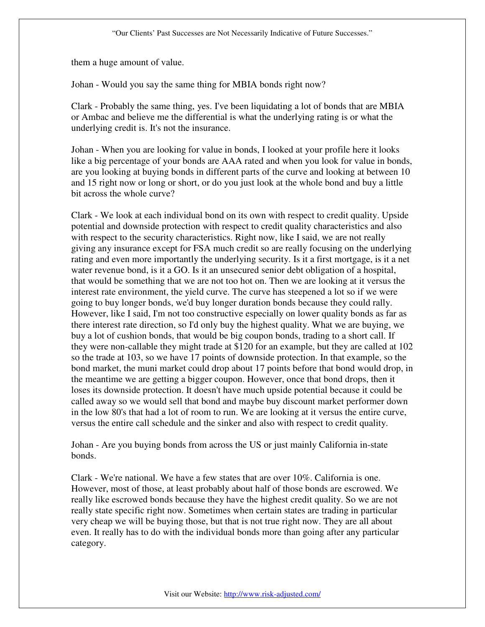them a huge amount of value.

Johan - Would you say the same thing for MBIA bonds right now?

Clark - Probably the same thing, yes. I've been liquidating a lot of bonds that are MBIA or Ambac and believe me the differential is what the underlying rating is or what the underlying credit is. It's not the insurance.

Johan - When you are looking for value in bonds, I looked at your profile here it looks like a big percentage of your bonds are AAA rated and when you look for value in bonds, are you looking at buying bonds in different parts of the curve and looking at between 10 and 15 right now or long or short, or do you just look at the whole bond and buy a little bit across the whole curve?

Clark - We look at each individual bond on its own with respect to credit quality. Upside potential and downside protection with respect to credit quality characteristics and also with respect to the security characteristics. Right now, like I said, we are not really giving any insurance except for FSA much credit so are really focusing on the underlying rating and even more importantly the underlying security. Is it a first mortgage, is it a net water revenue bond, is it a GO. Is it an unsecured senior debt obligation of a hospital, that would be something that we are not too hot on. Then we are looking at it versus the interest rate environment, the yield curve. The curve has steepened a lot so if we were going to buy longer bonds, we'd buy longer duration bonds because they could rally. However, like I said, I'm not too constructive especially on lower quality bonds as far as there interest rate direction, so I'd only buy the highest quality. What we are buying, we buy a lot of cushion bonds, that would be big coupon bonds, trading to a short call. If they were non-callable they might trade at \$120 for an example, but they are called at 102 so the trade at 103, so we have 17 points of downside protection. In that example, so the bond market, the muni market could drop about 17 points before that bond would drop, in the meantime we are getting a bigger coupon. However, once that bond drops, then it loses its downside protection. It doesn't have much upside potential because it could be called away so we would sell that bond and maybe buy discount market performer down in the low 80's that had a lot of room to run. We are looking at it versus the entire curve, versus the entire call schedule and the sinker and also with respect to credit quality.

Johan - Are you buying bonds from across the US or just mainly California in-state bonds.

Clark - We're national. We have a few states that are over 10%. California is one. However, most of those, at least probably about half of those bonds are escrowed. We really like escrowed bonds because they have the highest credit quality. So we are not really state specific right now. Sometimes when certain states are trading in particular very cheap we will be buying those, but that is not true right now. They are all about even. It really has to do with the individual bonds more than going after any particular category.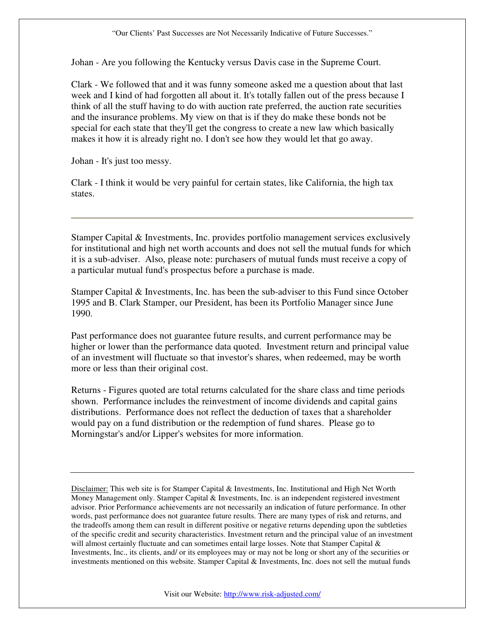Johan - Are you following the Kentucky versus Davis case in the Supreme Court.

Clark - We followed that and it was funny someone asked me a question about that last week and I kind of had forgotten all about it. It's totally fallen out of the press because I think of all the stuff having to do with auction rate preferred, the auction rate securities and the insurance problems. My view on that is if they do make these bonds not be special for each state that they'll get the congress to create a new law which basically makes it how it is already right no. I don't see how they would let that go away.

Johan - It's just too messy.

Clark - I think it would be very painful for certain states, like California, the high tax states.

Stamper Capital & Investments, Inc. provides portfolio management services exclusively for institutional and high net worth accounts and does not sell the mutual funds for which it is a sub-adviser. Also, please note: purchasers of mutual funds must receive a copy of a particular mutual fund's prospectus before a purchase is made.

Stamper Capital & Investments, Inc. has been the sub-adviser to this Fund since October 1995 and B. Clark Stamper, our President, has been its Portfolio Manager since June 1990.

Past performance does not guarantee future results, and current performance may be higher or lower than the performance data quoted. Investment return and principal value of an investment will fluctuate so that investor's shares, when redeemed, may be worth more or less than their original cost.

Returns - Figures quoted are total returns calculated for the share class and time periods shown. Performance includes the reinvestment of income dividends and capital gains distributions. Performance does not reflect the deduction of taxes that a shareholder would pay on a fund distribution or the redemption of fund shares. Please go to Morningstar's and/or Lipper's websites for more information.

Disclaimer: This web site is for Stamper Capital & Investments, Inc. Institutional and High Net Worth Money Management only. Stamper Capital & Investments, Inc. is an independent registered investment advisor. Prior Performance achievements are not necessarily an indication of future performance. In other words, past performance does not guarantee future results. There are many types of risk and returns, and the tradeoffs among them can result in different positive or negative returns depending upon the subtleties of the specific credit and security characteristics. Investment return and the principal value of an investment will almost certainly fluctuate and can sometimes entail large losses. Note that Stamper Capital  $\&$ Investments, Inc., its clients, and/ or its employees may or may not be long or short any of the securities or investments mentioned on this website. Stamper Capital & Investments, Inc. does not sell the mutual funds